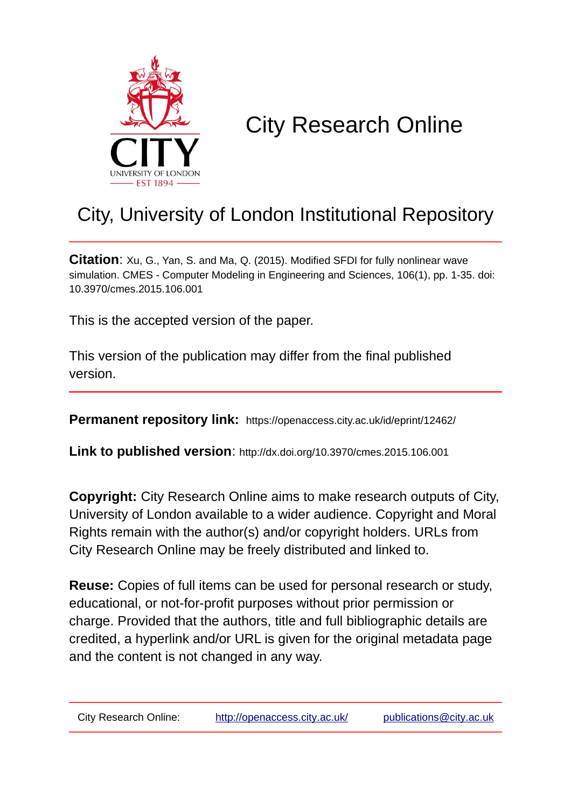

# City Research Online

# City, University of London Institutional Repository

**Citation**: Xu, G., Yan, S. and Ma, Q. (2015). Modified SFDI for fully nonlinear wave simulation. CMES - Computer Modeling in Engineering and Sciences, 106(1), pp. 1-35. doi: 10.3970/cmes.2015.106.001

This is the accepted version of the paper.

This version of the publication may differ from the final published version.

**Permanent repository link:** https://openaccess.city.ac.uk/id/eprint/12462/

**Link to published version**: http://dx.doi.org/10.3970/cmes.2015.106.001

**Copyright:** City Research Online aims to make research outputs of City, University of London available to a wider audience. Copyright and Moral Rights remain with the author(s) and/or copyright holders. URLs from City Research Online may be freely distributed and linked to.

**Reuse:** Copies of full items can be used for personal research or study, educational, or not-for-profit purposes without prior permission or charge. Provided that the authors, title and full bibliographic details are credited, a hyperlink and/or URL is given for the original metadata page and the content is not changed in any way.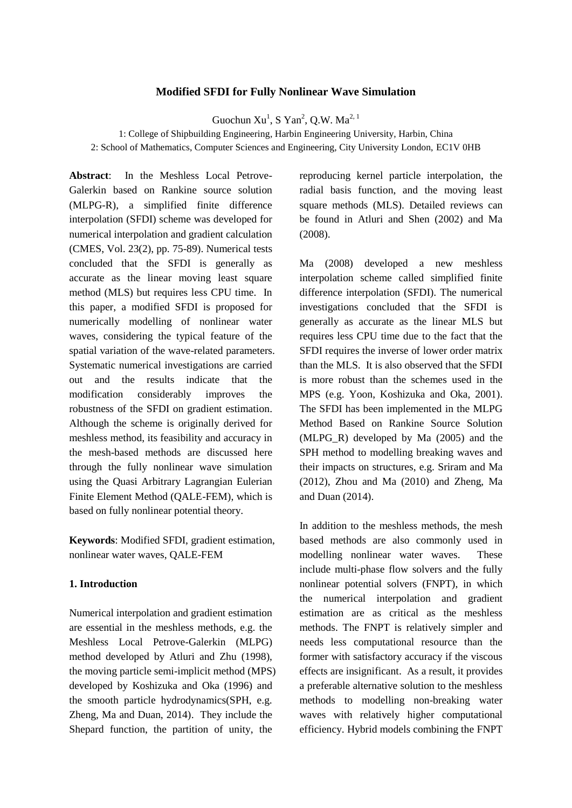#### **Modified SFDI for Fully Nonlinear Wave Simulation**

Guochun  $Xu<sup>1</sup>$ , S Yan<sup>2</sup>, Q.W. Ma<sup>2, 1</sup>

1: College of Shipbuilding Engineering, Harbin Engineering University, Harbin, China 2: School of Mathematics, Computer Sciences and Engineering, City University London, EC1V 0HB

**Abstract**: In the Meshless Local Petrove-Galerkin based on Rankine source solution (MLPG-R), a simplified finite difference interpolation (SFDI) scheme was developed for numerical interpolation and gradient calculation (CMES, Vol. 23(2), pp. 75-89). Numerical tests concluded that the SFDI is generally as accurate as the linear moving least square method (MLS) but requires less CPU time. In this paper, a modified SFDI is proposed for numerically modelling of nonlinear water waves, considering the typical feature of the spatial variation of the wave-related parameters. Systematic numerical investigations are carried out and the results indicate that the modification considerably improves the robustness of the SFDI on gradient estimation. Although the scheme is originally derived for meshless method, its feasibility and accuracy in the mesh-based methods are discussed here through the fully nonlinear wave simulation using the Quasi Arbitrary Lagrangian Eulerian Finite Element Method (QALE-FEM), which is based on fully nonlinear potential theory.

**Keywords**: Modified SFDI, gradient estimation, nonlinear water waves, QALE-FEM

#### **1. Introduction**

Numerical interpolation and gradient estimation are essential in the meshless methods, e.g. the Meshless Local Petrove-Galerkin (MLPG) method developed by Atluri and Zhu (1998), the moving particle semi-implicit method (MPS) developed by Koshizuka and Oka (1996) and the smooth particle hydrodynamics(SPH, e.g. Zheng, Ma and Duan, 2014). They include the Shepard function, the partition of unity, the

reproducing kernel particle interpolation, the radial basis function, and the moving least square methods (MLS). Detailed reviews can be found in Atluri and Shen (2002) and Ma (2008).

Ma (2008) developed a new meshless interpolation scheme called simplified finite difference interpolation (SFDI). The numerical investigations concluded that the SFDI is generally as accurate as the linear MLS but requires less CPU time due to the fact that the SFDI requires the inverse of lower order matrix than the MLS. It is also observed that the SFDI is more robust than the schemes used in the MPS (e.g. Yoon, Koshizuka and Oka, 2001). The SFDI has been implemented in the MLPG Method Based on Rankine Source Solution (MLPG R) developed by Ma  $(2005)$  and the SPH method to modelling breaking waves and their impacts on structures, e.g. Sriram and Ma (2012), Zhou and Ma (2010) and Zheng, Ma and Duan (2014).

In addition to the meshless methods, the mesh based methods are also commonly used in modelling nonlinear water waves. These include multi-phase flow solvers and the fully nonlinear potential solvers (FNPT), in which the numerical interpolation and gradient estimation are as critical as the meshless methods. The FNPT is relatively simpler and needs less computational resource than the former with satisfactory accuracy if the viscous effects are insignificant. As a result, it provides a preferable alternative solution to the meshless methods to modelling non-breaking water waves with relatively higher computational efficiency. Hybrid models combining the FNPT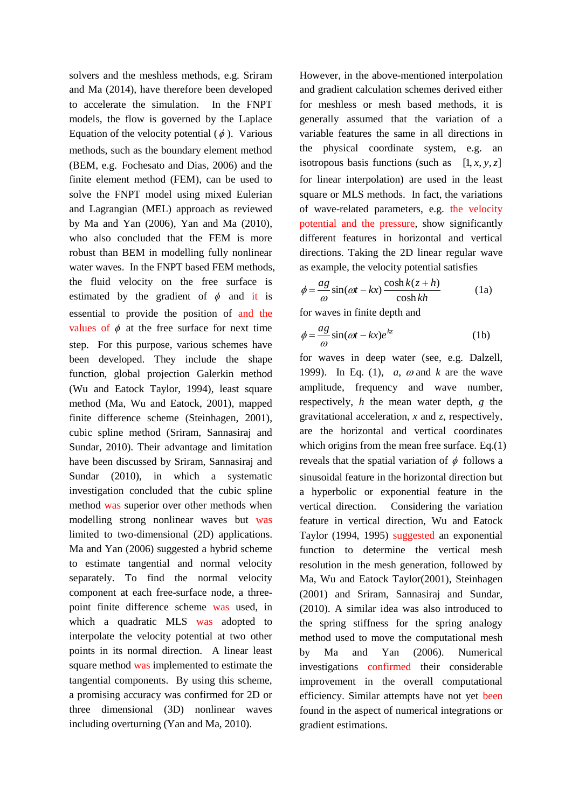solvers and the meshless methods, e.g. Sriram and Ma (2014), have therefore been developed to accelerate the simulation. In the FNPT models, the flow is governed by the Laplace Equation of the velocity potential  $(\phi)$ . Various methods, such as the boundary element method (BEM, e.g. Fochesato and Dias, 2006) and the finite element method (FEM), can be used to solve the FNPT model using mixed Eulerian and Lagrangian (MEL) approach as reviewed by Ma and Yan (2006), Yan and Ma (2010), who also concluded that the FEM is more robust than BEM in modelling fully nonlinear water waves. In the FNPT based FEM methods, the fluid velocity on the free surface is estimated by the gradient of  $\phi$  and it is essential to provide the position of and the values of  $\phi$  at the free surface for next time step. For this purpose, various schemes have been developed. They include the shape function, global projection Galerkin method (Wu and Eatock Taylor, 1994), least square method (Ma, Wu and Eatock, 2001), mapped finite difference scheme (Steinhagen, 2001), cubic spline method (Sriram, Sannasiraj and Sundar, 2010). Their advantage and limitation have been discussed by Sriram, Sannasiraj and Sundar (2010), in which a systematic investigation concluded that the cubic spline method was superior over other methods when modelling strong nonlinear waves but was limited to two-dimensional (2D) applications. Ma and Yan (2006) suggested a hybrid scheme to estimate tangential and normal velocity separately. To find the normal velocity component at each free-surface node, a threepoint finite difference scheme was used, in which a quadratic MLS was adopted to interpolate the velocity potential at two other points in its normal direction. A linear least square method was implemented to estimate the tangential components. By using this scheme, a promising accuracy was confirmed for 2D or three dimensional (3D) nonlinear waves including overturning (Yan and Ma, 2010).

However, in the above-mentioned interpolation and gradient calculation schemes derived either for meshless or mesh based methods, it is generally assumed that the variation of a variable features the same in all directions in the physical coordinate system, e.g. an isotropous basis functions (such as  $[1, x, y, z]$ for linear interpolation) are used in the least square or MLS methods. In fact, the variations of wave-related parameters, e.g. the velocity potential and the pressure, show significantly different features in horizontal and vertical directions. Taking the 2D linear regular wave as example, the velocity potential satisfies

$$
\phi = \frac{ag}{\omega} \sin(\omega t - kx) \frac{\cosh k(z + h)}{\cosh kh}
$$
 (1a)

for waves in finite depth and

$$
\phi = \frac{ag}{\omega} \sin(\omega t - kx)e^{kz}
$$
 (1b)

for waves in deep water (see, e.g. Dalzell, 1999). In Eq. (1),  $a, \omega$  and  $k$  are the wave amplitude, frequency and wave number, respectively, *h* the mean water depth, *g* the gravitational acceleration, *x* and *z*, respectively, are the horizontal and vertical coordinates which origins from the mean free surface. Eq.(1) reveals that the spatial variation of  $\phi$  follows a sinusoidal feature in the horizontal direction but a hyperbolic or exponential feature in the vertical direction. Considering the variation feature in vertical direction, Wu and Eatock Taylor (1994, 1995) suggested an exponential function to determine the vertical mesh resolution in the mesh generation, followed by Ma, Wu and Eatock Taylor(2001), Steinhagen (2001) and Sriram, Sannasiraj and Sundar, (2010). A similar idea was also introduced to the spring stiffness for the spring analogy method used to move the computational mesh by Ma and Yan (2006). Numerical investigations confirmed their considerable improvement in the overall computational efficiency. Similar attempts have not yet been found in the aspect of numerical integrations or gradient estimations.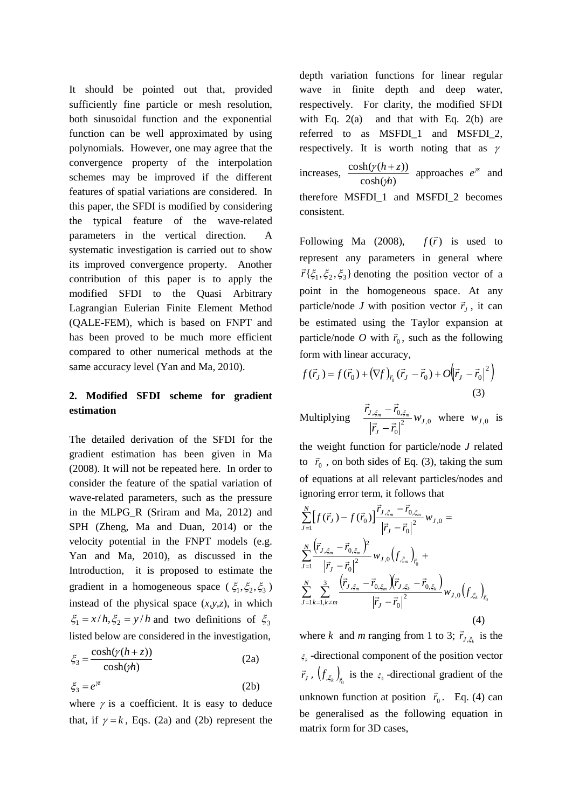It should be pointed out that, provided sufficiently fine particle or mesh resolution, both sinusoidal function and the exponential function can be well approximated by using polynomials. However, one may agree that the convergence property of the interpolation schemes may be improved if the different features of spatial variations are considered. In this paper, the SFDI is modified by considering the typical feature of the wave-related parameters in the vertical direction. A systematic investigation is carried out to show its improved convergence property. Another contribution of this paper is to apply the modified SFDI to the Quasi Arbitrary Lagrangian Eulerian Finite Element Method (QALE-FEM), which is based on FNPT and has been proved to be much more efficient compared to other numerical methods at the same accuracy level (Yan and Ma, 2010).

## **2. Modified SFDI scheme for gradient estimation**

The detailed derivation of the SFDI for the gradient estimation has been given in Ma (2008). It will not be repeated here. In order to consider the feature of the spatial variation of wave-related parameters, such as the pressure in the MLPG\_R (Sriram and Ma, 2012) and SPH (Zheng, Ma and Duan, 2014) or the velocity potential in the FNPT models (e.g. Yan and Ma, 2010), as discussed in the Introduction, it is proposed to estimate the gradient in a homogeneous space ( $\xi_1, \xi_2, \xi_3$ ) instead of the physical space  $(x, y, z)$ , in which  $\xi_1 = x/h, \xi_2 = y/h$  and two definitions of  $\xi_3$ listed below are considered in the investigation,

$$
\xi_3 = \frac{\cosh(\gamma(h+z))}{\cosh(\gamma h)}
$$
 (2a)

$$
\xi_3 = e^{\gamma z} \tag{2b}
$$

where  $\gamma$  is a coefficient. It is easy to deduce that, if  $\gamma = k$ , Eqs. (2a) and (2b) represent the depth variation functions for linear regular wave in finite depth and deep water, respectively. For clarity, the modified SFDI with Eq.  $2(a)$  and that with Eq.  $2(b)$  are referred to as MSFDI\_1 and MSFDI\_2, respectively. It is worth noting that as  $\gamma$ increases,  $\cosh(\gamma h)$  $\cosh(\gamma (h+z))$ *h*  $h + z$ V  $\frac{(y(h+z))}{(x+y)}$  approaches  $e^{iz}$  and therefore MSFDI\_1 and MSFDI\_2 becomes consistent.

Following Ma (2008),  $f(\vec{r})$  is used to represent any parameters in general where  $\overline{r} \{ \xi_1, \xi_2, \xi_3 \}$  denoting the position vector of a point in the homogeneous space. At any particle/node *J* with position vector  $\vec{r}_j$ , it can be estimated using the Taylor expansion at particle/node *O* with  $\vec{r}_0$ , such as the following form with linear accuracy,

$$
f(\vec{r}_J) = f(\vec{r}_0) + (\nabla f)_{\vec{r}_0} (\vec{r}_J - \vec{r}_0) + O(|\vec{r}_J - \vec{r}_0|^2)
$$
\n(3)

Multiplying  $\frac{J_{1,2}^{2} + 10^{2}C_{2,2}}{1}W_{J,0}$ 0  $,\xi_m$   $\qquad$   $\qquad$  0, *J J*  $\frac{J_{\phi,\zeta_m}}{2}W$  $\vec{r}_I - \vec{r}$  $\frac{\vec{r}_{J,\xi_m} - \vec{r}_{0,\xi_m}}{|\vec{x}|^2}$  $\overline{a}$  $\frac{\xi_m - \vec{r}_{0,\xi_m}}{2} w_{J,0}$  where  $w_{J,0}$  is

the weight function for particle/node *J* related to  $\vec{r}_0$ , on both sides of Eq. (3), taking the sum of equations at all relevant particles/nodes and ignoring error term, it follows that

$$
\sum_{J=1}^{N} \left[ f(\vec{r}_{J}) - f(\vec{r}_{0}) \right] \frac{\vec{r}_{J,\xi_{m}} - \vec{r}_{0,\xi_{m}}}{\left| \vec{r}_{J} - \vec{r}_{0} \right|^{2}} w_{J,0} =
$$
\n
$$
\sum_{J=1}^{N} \frac{\left( \vec{r}_{J,\xi_{m}} - \vec{r}_{0,\xi_{m}} \right)^{2}}{\left| \vec{r}_{J} - \vec{r}_{0} \right|^{2}} w_{J,0} \left( f_{,\xi_{m}} \right)_{\vec{r}_{0}} +
$$
\n
$$
\sum_{J=1}^{N} \sum_{k=1, k \neq m}^{3} \frac{\left( \vec{r}_{J,\xi_{m}} - \vec{r}_{0,\xi_{m}} \right) \left( \vec{r}_{J,\xi_{k}} - \vec{r}_{0,\xi_{k}} \right)}{\left| \vec{r}_{J} - \vec{r}_{0} \right|^{2}} w_{J,0} \left( f_{,\xi_{k}} \right)_{\vec{r}_{0}}
$$
\n(4)

where *k* and *m* ranging from 1 to 3;  $\vec{r}_{J,\xi_k}$  $\vec{r}_{I,\varepsilon}$  is the  $\xi_k$ -directional component of the position vector  $\vec{r}_J$ ,  $(f_{\xi_k})_{\vec{r}_0}$  is the  $\xi_k$ -directional gradient of the unknown function at position  $\vec{r}_0$ . Eq. (4) can be generalised as the following equation in matrix form for 3D cases,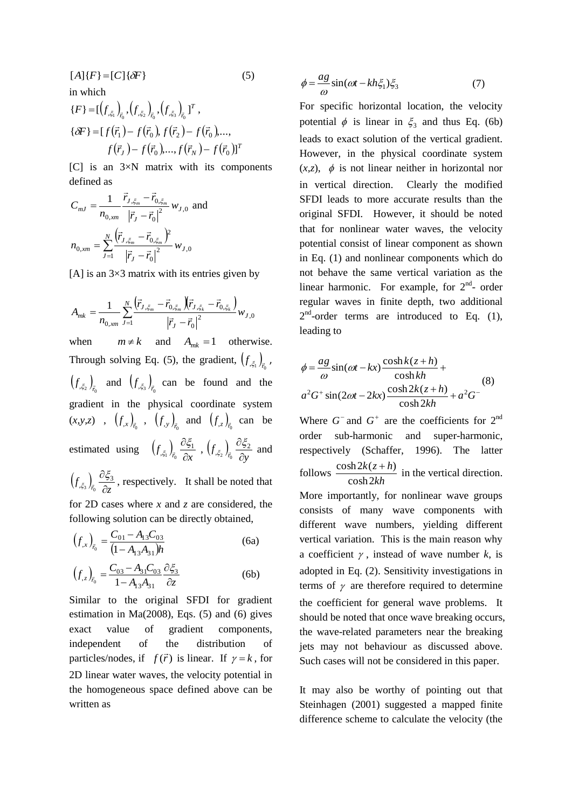$[A]$ {*F*} = [*C*]{ $\delta$ *F*} (5) in which  $(f_{\varepsilon})$ ,  $(f_{\varepsilon})$ ,  $(f_{\varepsilon})$ <sup>T</sup>  $\{F\} = \left[\left(f_{,\xi_1}\right)_{\vec{r}_0}, \left(f_{,\xi_2}\right)_{\vec{r}_0}, \left(f_{,\xi_3}\right)_{\vec{r}_0}\right]^T,$  $\{\delta F\} = [f(\vec{r}_1) - f(\vec{r}_0), f(\vec{r}_2) - f(\vec{r}_0), \ldots,$  $f(\vec{r}_J) - f(\vec{r}_0)$ ,...,  $f(\vec{r}_N) - f(\vec{r}_0)$ ]<sup>T</sup>  $(\vec{r}_I) - f(\vec{r}_0)$ ,..., $f(\vec{r}_N) - f(\vec{r}_N)$  $\delta F$ } = [f( $\vec{r}_1$ ) – f( $\vec{r}_0$ ), f( $\vec{r}_2$ ) – f( $\vec{r}_1$ 

[C] is an  $3 \times N$  matrix with its components defined as

$$
C_{mJ} = \frac{1}{n_{0,xm}} \frac{\vec{r}_{J,\xi_m} - \vec{r}_{0,\xi_m}}{|\vec{r}_J - \vec{r}_0|^2} w_{J,0} \text{ and}
$$

$$
n_{0,xm} = \sum_{J=1}^{N} \frac{(\vec{r}_{J,\xi_m} - \vec{r}_{0,\xi_m})^2}{|\vec{r}_J - \vec{r}_0|^2} w_{J,0}
$$

[A] is an  $3\times3$  matrix with its entries given by

$$
A_{mk} = \frac{1}{n_{0,xm}} \sum_{J=1}^{N} \frac{(\vec{r}_{J,\xi_m} - \vec{r}_{0,\xi_m})(\vec{r}_{J,\xi_k} - \vec{r}_{0,\xi_k})}{|\vec{r}_J - \vec{r}_0|^2} w_{J,0}
$$
  
when  $m \neq k$  and  $A_{mk} = 1$  otherwise.  
Through solving Eq. (5), the gradient,  $(f_{,\xi_1})_{\vec{r}_0}$ ,  
 $(f_{,\xi_2})_{\vec{r}_0}$  and  $(f_{,\xi_3})_{\vec{r}_0}$  can be found and the  
gradient in the physical coordinate system  
 $(x, y, z)$ ,  $(f_{,x})_{\vec{r}_0}$ ,  $(f_{,y})_{\vec{r}_0}$  and  $(f_{,z})_{\vec{r}_0}$  can be  
estimated using  $(f_{,\xi_1})_{\vec{r}_0} \frac{\partial \xi_1}{\partial x}$ ,  $(f_{,\xi_2})_{\vec{r}_0} \frac{\partial \xi_2}{\partial y}$  and  
 $(f_{,\xi_3})_{\vec{r}_0} \frac{\partial \xi_3}{\partial z}$ , respectively. It shall be noted that  
for 2D cases where x and z are considered, the  
following solution can be directly obtained,

$$
\left(f_{,x}\right)_{\vec{r}_0} = \frac{C_{01} - A_{13}C_{03}}{\left(1 - A_{13}A_{31}\right)h} \tag{6a}
$$

$$
\left(f_{,z}\right)_{\bar{r}_0} = \frac{C_{03} - A_{31}C_{03}}{1 - A_{13}A_{31}} \frac{\partial \xi_3}{\partial z}
$$
 (6b)

Similar to the original SFDI for gradient estimation in Ma(2008), Eqs. (5) and (6) gives exact value of gradient components, independent of the distribution of particles/nodes, if  $f(\vec{r})$  is linear. If  $\gamma = k$ , for 2D linear water waves, the velocity potential in the homogeneous space defined above can be written as

$$
\phi = \frac{ag}{\omega} \sin(\omega t - kh\xi_1)\xi_3 \tag{7}
$$

For specific horizontal location, the velocity potential  $\phi$  is linear in  $\xi_3$  and thus Eq. (6b) leads to exact solution of the vertical gradient. However, in the physical coordinate system  $(x,z)$ ,  $\phi$  is not linear neither in horizontal nor in vertical direction. Clearly the modified SFDI leads to more accurate results than the original SFDI. However, it should be noted that for nonlinear water waves, the velocity potential consist of linear component as shown in Eq. (1) and nonlinear components which do not behave the same vertical variation as the linear harmonic. For example, for 2<sup>nd</sup>- order regular waves in finite depth, two additional  $2<sup>nd</sup>$ -order terms are introduced to Eq. (1), leading to

$$
\phi = \frac{ag}{\omega} \sin(\omega t - kx) \frac{\cosh k(z+h)}{\cosh kh} +
$$
  

$$
a^2 G^+ \sin(2\omega t - 2kx) \frac{\cosh 2k(z+h)}{\cosh 2kh} + a^2 G^-
$$
 (8)

Where  $G^-$  and  $G^+$  are the coefficients for  $2^{nd}$ order sub-harmonic and super-harmonic, respectively (Schaffer, 1996). The latter follows *kh*  $k(z+h)$ cosh2  $\frac{\cosh 2k(z+h)}{iz}$  in the vertical direction. More importantly, for nonlinear wave groups consists of many wave components with different wave numbers, yielding different vertical variation. This is the main reason why a coefficient  $\gamma$ , instead of wave number  $k$ , is adopted in Eq. (2). Sensitivity investigations in terms of  $\gamma$  are therefore required to determine the coefficient for general wave problems. It should be noted that once wave breaking occurs, the wave-related parameters near the breaking jets may not behaviour as discussed above. Such cases will not be considered in this paper.

It may also be worthy of pointing out that Steinhagen (2001) suggested a mapped finite difference scheme to calculate the velocity (the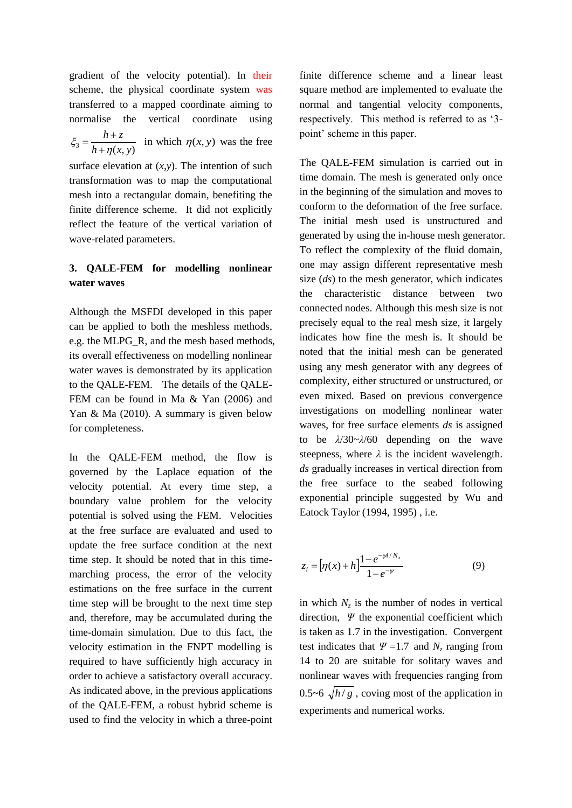gradient of the velocity potential). In their scheme, the physical coordinate system was transferred to a mapped coordinate aiming to normalise the vertical coordinate using

 $\frac{3}{h} - \frac{1}{h} + \eta(x, y)$ *h z* η  $\xi_3 = \frac{1}{h+1}$  $=\frac{h+z}{\sqrt{g(x,y)}}$  in which  $\eta(x, y)$  was the free

surface elevation at  $(x, y)$ . The intention of such transformation was to map the computational mesh into a rectangular domain, benefiting the finite difference scheme. It did not explicitly reflect the feature of the vertical variation of wave-related parameters.

# **3. QALE-FEM for modelling nonlinear water waves**

Although the MSFDI developed in this paper can be applied to both the meshless methods, e.g. the MLPG\_R, and the mesh based methods, its overall effectiveness on modelling nonlinear water waves is demonstrated by its application to the QALE-FEM. The details of the QALE-FEM can be found in Ma & Yan (2006) and Yan & Ma (2010). A summary is given below for completeness.

In the QALE-FEM method, the flow is governed by the Laplace equation of the velocity potential. At every time step, a boundary value problem for the velocity potential is solved using the FEM. Velocities at the free surface are evaluated and used to update the free surface condition at the next time step. It should be noted that in this timemarching process, the error of the velocity estimations on the free surface in the current time step will be brought to the next time step and, therefore, may be accumulated during the time-domain simulation. Due to this fact, the velocity estimation in the FNPT modelling is required to have sufficiently high accuracy in order to achieve a satisfactory overall accuracy. As indicated above, in the previous applications of the QALE-FEM, a robust hybrid scheme is used to find the velocity in which a three-point finite difference scheme and a linear least square method are implemented to evaluate the normal and tangential velocity components, respectively. This method is referred to as '3 point' scheme in this paper.

The QALE-FEM simulation is carried out in time domain. The mesh is generated only once in the beginning of the simulation and moves to conform to the deformation of the free surface. The initial mesh used is unstructured and generated by using the in-house mesh generator. To reflect the complexity of the fluid domain, one may assign different representative mesh size (*ds*) to the mesh generator, which indicates the characteristic distance between two connected nodes. Although this mesh size is not precisely equal to the real mesh size, it largely indicates how fine the mesh is. It should be noted that the initial mesh can be generated using any mesh generator with any degrees of complexity, either structured or unstructured, or even mixed. Based on previous convergence investigations on modelling nonlinear water waves, for free surface elements *ds* is assigned to be *λ*/30~*λ*/60 depending on the wave steepness, where  $\lambda$  is the incident wavelength. *ds* gradually increases in vertical direction from the free surface to the seabed following exponential principle suggested by Wu and Eatock Taylor (1994, 1995) , i.e.

$$
z_i = [\eta(x) + h] \frac{1 - e^{-\psi i / N_z}}{1 - e^{-\psi}}
$$
(9)

in which  $N_z$  is the number of nodes in vertical direction, *Ψ* the exponential coefficient which is taken as 1.7 in the investigation. Convergent test indicates that  $\Psi$  =1.7 and  $N_z$  ranging from 14 to 20 are suitable for solitary waves and nonlinear waves with frequencies ranging from 0.5~6  $\sqrt{h/g}$ , coving most of the application in experiments and numerical works.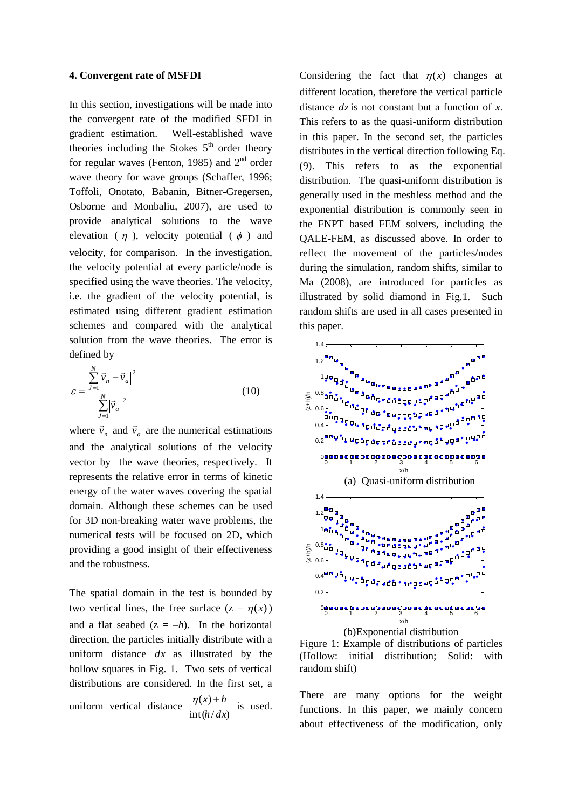#### **4. Convergent rate of MSFDI**

In this section, investigations will be made into the convergent rate of the modified SFDI in gradient estimation. Well-established wave theories including the Stokes  $5<sup>th</sup>$  order theory for regular waves (Fenton, 1985) and  $2<sup>nd</sup>$  order wave theory for wave groups (Schaffer, 1996; Toffoli, Onotato, Babanin, Bitner-Gregersen, Osborne and Monbaliu, 2007), are used to provide analytical solutions to the wave elevation ( $\eta$ ), velocity potential ( $\phi$ ) and velocity, for comparison. In the investigation, the velocity potential at every particle/node is specified using the wave theories. The velocity, i.e. the gradient of the velocity potential, is estimated using different gradient estimation schemes and compared with the analytical solution from the wave theories. The error is defined by

$$
\varepsilon = \frac{\sum_{j=1}^{N} |\vec{v}_n - \vec{v}_a|^2}{\sum_{j=1}^{N} |\vec{v}_a|^2}
$$
(10)

where  $\vec{v}_n$  and  $\vec{v}_a$  are the numerical estimations and the analytical solutions of the velocity vector by the wave theories, respectively. It represents the relative error in terms of kinetic energy of the water waves covering the spatial domain. Although these schemes can be used for 3D non-breaking water wave problems, the numerical tests will be focused on 2D, which providing a good insight of their effectiveness and the robustness.

The spatial domain in the test is bounded by two vertical lines, the free surface  $(z = \eta(x))$ and a flat seabed  $(z = -h)$ . In the horizontal direction, the particles initially distribute with a uniform distance *dx* as illustrated by the hollow squares in Fig. 1. Two sets of vertical distributions are considered. In the first set, a uniform vertical distance  $int(h/dx)$  $(x)$ *h dx*  $\frac{\eta(x)+h}{h}$  is used.

Considering the fact that  $\eta(x)$  changes at different location, therefore the vertical particle distance  $dz$  is not constant but a function of  $x$ . This refers to as the quasi-uniform distribution in this paper. In the second set, the particles distributes in the vertical direction following Eq. (9). This refers to as the exponential distribution. The quasi-uniform distribution is generally used in the meshless method and the exponential distribution is commonly seen in the FNPT based FEM solvers, including the QALE-FEM, as discussed above. In order to reflect the movement of the particles/nodes during the simulation, random shifts, similar to Ma (2008), are introduced for particles as illustrated by solid diamond in Fig.1. Such random shifts are used in all cases presented in this paper.



(b)Exponential distribution

Figure 1: Example of distributions of particles (Hollow: initial distribution; Solid: with random shift)

There are many options for the weight functions. In this paper, we mainly concern about effectiveness of the modification, only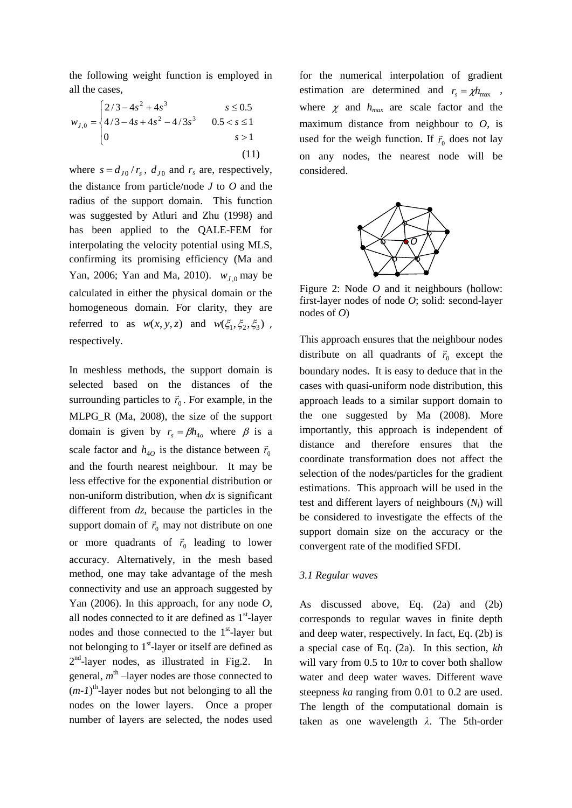the following weight function is employed in all the cases,

$$
w_{J,0} = \begin{cases} 2/3 - 4s^2 + 4s^3 & s \le 0.5\\ 4/3 - 4s + 4s^2 - 4/3s^3 & 0.5 < s \le 1\\ 0 & s > 1 \end{cases}
$$
(11)

where  $s = d_{J0}/r_s$ ,  $d_{J0}$  and  $r_s$  are, respectively, the distance from particle/node *J* to *O* and the radius of the support domain. This function was suggested by Atluri and Zhu (1998) and has been applied to the QALE-FEM for interpolating the velocity potential using MLS, confirming its promising efficiency (Ma and Yan, 2006; Yan and Ma, 2010).  $w_{J,0}$  may be calculated in either the physical domain or the homogeneous domain. For clarity, they are referred to as  $w(x, y, z)$  and  $w(\xi_1, \xi_2, \xi_3)$ , respectively.

In meshless methods, the support domain is selected based on the distances of the surrounding particles to  $\vec{r}_0$ . For example, in the MLPG\_R (Ma, 2008), the size of the support domain is given by  $r_s = \beta h_{4o}$  where  $\beta$  is a scale factor and  $h_{40}$  is the distance between  $\vec{r}_0$ and the fourth nearest neighbour. It may be less effective for the exponential distribution or non-uniform distribution, when *dx* is significant different from *dz*, because the particles in the support domain of  $\vec{r}_0$  may not distribute on one or more quadrants of  $\vec{r}_0$  leading to lower accuracy. Alternatively, in the mesh based method, one may take advantage of the mesh connectivity and use an approach suggested by Yan (2006). In this approach, for any node *O*, all nodes connected to it are defined as  $1<sup>st</sup>$ -layer nodes and those connected to the  $1<sup>st</sup>$ -layer but not belonging to  $1<sup>st</sup>$ -layer or itself are defined as 2<sup>nd</sup>-layer nodes, as illustrated in Fig.2. In general,  $m<sup>th</sup>$  –layer nodes are those connected to  $(m-1)$ <sup>th</sup>-layer nodes but not belonging to all the nodes on the lower layers. Once a proper number of layers are selected, the nodes used

for the numerical interpolation of gradient estimation are determined and  $r_s = \chi h_{\text{max}}$ , where  $\chi$  and  $h_{max}$  are scale factor and the maximum distance from neighbour to *O*, is used for the weigh function. If  $\vec{r}_0$  does not lay on any nodes, the nearest node will be considered.



Figure 2: Node *O* and it neighbours (hollow: first-layer nodes of node *O*; solid: second-layer nodes of *O*)

This approach ensures that the neighbour nodes distribute on all quadrants of  $\vec{r}_0$  except the boundary nodes. It is easy to deduce that in the cases with quasi-uniform node distribution, this approach leads to a similar support domain to the one suggested by Ma (2008). More importantly, this approach is independent of distance and therefore ensures that the coordinate transformation does not affect the selection of the nodes/particles for the gradient estimations. This approach will be used in the test and different layers of neighbours (*Nl*) will be considered to investigate the effects of the support domain size on the accuracy or the convergent rate of the modified SFDI.

#### *3.1 Regular waves*

As discussed above, Eq. (2a) and (2b) corresponds to regular waves in finite depth and deep water, respectively. In fact, Eq. (2b) is a special case of Eq. (2a). In this section, *kh* will vary from 0.5 to  $10\pi$  to cover both shallow water and deep water waves. Different wave steepness *ka* ranging from 0.01 to 0.2 are used. The length of the computational domain is taken as one wavelength *λ*. The 5th-order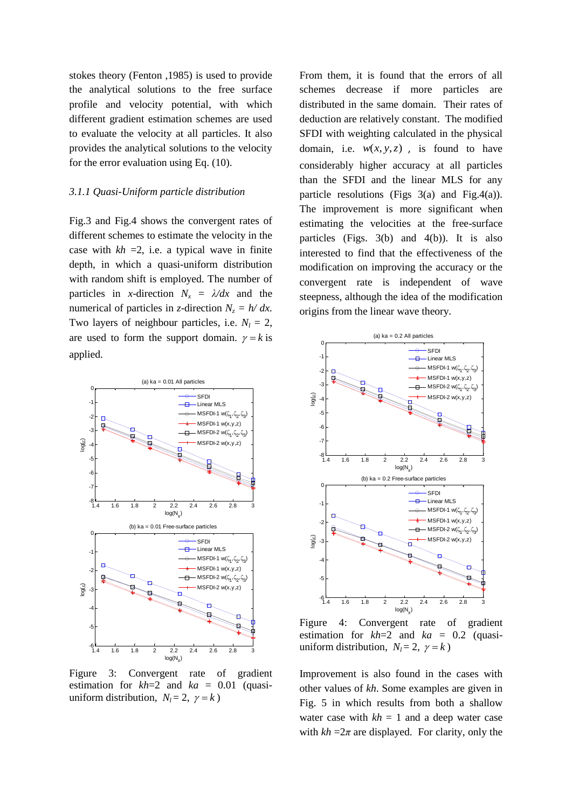stokes theory (Fenton ,1985) is used to provide the analytical solutions to the free surface profile and velocity potential, with which different gradient estimation schemes are used to evaluate the velocity at all particles. It also provides the analytical solutions to the velocity for the error evaluation using Eq. (10).

#### *3.1.1 Quasi-Uniform particle distribution*

Fig.3 and Fig.4 shows the convergent rates of different schemes to estimate the velocity in the case with  $kh = 2$ , i.e. a typical wave in finite depth, in which a quasi-uniform distribution with random shift is employed. The number of particles in *x*-direction  $N_x = \lambda/dx$  and the numerical of particles in *z*-direction  $N_z = h/dx$ . Two layers of neighbour particles, i.e.  $N_l = 2$ , are used to form the support domain.  $\gamma = k$  is applied.



Figure 3: Convergent rate of gradient estimation for  $kh=2$  and  $ka = 0.01$  (quasiuniform distribution,  $N_l = 2$ ,  $\gamma = k$ )

From them, it is found that the errors of all schemes decrease if more particles are distributed in the same domain. Their rates of deduction are relatively constant. The modified SFDI with weighting calculated in the physical domain, i.e.  $w(x, y, z)$ , is found to have considerably higher accuracy at all particles than the SFDI and the linear MLS for any particle resolutions (Figs  $3(a)$  and Fig.4(a)). The improvement is more significant when estimating the velocities at the free-surface particles (Figs. 3(b) and 4(b)). It is also interested to find that the effectiveness of the modification on improving the accuracy or the convergent rate is independent of wave steepness, although the idea of the modification origins from the linear wave theory.



Figure 4: Convergent rate of gradient estimation for *kh*=2 and *ka* = 0.2 (quasiuniform distribution,  $N_l = 2$ ,  $\gamma = k$ )

Improvement is also found in the cases with other values of *kh*. Some examples are given in Fig. 5 in which results from both a shallow water case with  $kh = 1$  and a deep water case with  $kh = 2\pi$  are displayed. For clarity, only the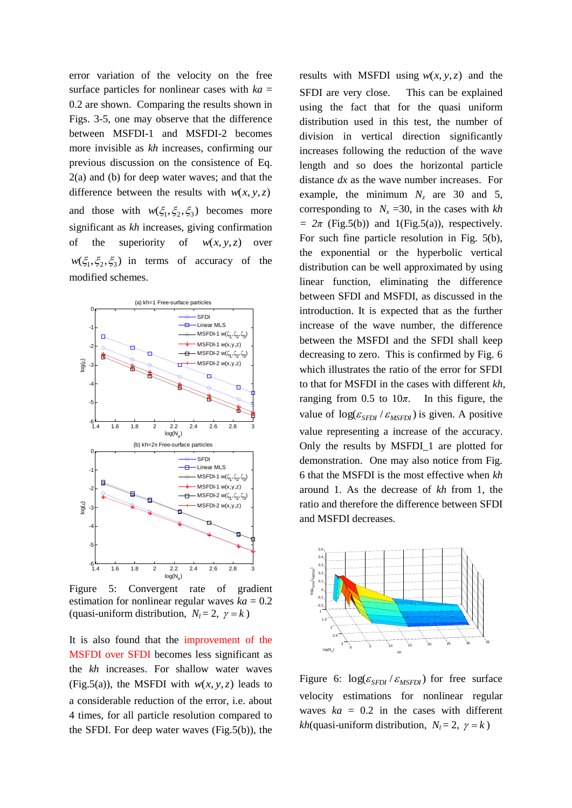error variation of the velocity on the free surface particles for nonlinear cases with  $ka =$ 0.2 are shown. Comparing the results shown in Figs. 3-5, one may observe that the difference between MSFDI-1 and MSFDI-2 becomes more invisible as *kh* increases, confirming our previous discussion on the consistence of Eq. 2(a) and (b) for deep water waves; and that the difference between the results with  $w(x, y, z)$ and those with  $w(\xi_1, \xi_2, \xi_3)$  becomes more significant as *kh* increases, giving confirmation of the superiority of  $w(x, y, z)$  over  $w(\xi_1, \xi_2, \xi_3)$  in terms of accuracy of the modified schemes.



Figure 5: Convergent rate of gradient estimation for nonlinear regular waves  $ka = 0.2$ (quasi-uniform distribution,  $N_l = 2$ ,  $\gamma = k$ )

It is also found that the improvement of the MSFDI over SFDI becomes less significant as the *kh* increases. For shallow water waves (Fig.5(a)), the MSFDI with  $w(x, y, z)$  leads to a considerable reduction of the error, i.e. about 4 times, for all particle resolution compared to the SFDI. For deep water waves (Fig.5(b)), the

results with MSFDI using  $w(x, y, z)$  and the SFDI are very close. This can be explained using the fact that for the quasi uniform distribution used in this test, the number of division in vertical direction significantly increases following the reduction of the wave length and so does the horizontal particle distance *dx* as the wave number increases. For example, the minimum  $N_z$  are 30 and 5, corresponding to  $N_r = 30$ , in the cases with  $kh$  $= 2\pi$  (Fig.5(b)) and 1(Fig.5(a)), respectively. For such fine particle resolution in Fig. 5(b), the exponential or the hyperbolic vertical distribution can be well approximated by using linear function, eliminating the difference between SFDI and MSFDI, as discussed in the introduction. It is expected that as the further increase of the wave number, the difference between the MSFDI and the SFDI shall keep decreasing to zero. This is confirmed by Fig. 6 which illustrates the ratio of the error for SFDI to that for MSFDI in the cases with different *kh*, ranging from  $0.5$  to  $10\pi$ . In this figure, the value of  $\log(\varepsilon_{SFDI} / \varepsilon_{MSFDI})$  is given. A positive value representing a increase of the accuracy. Only the results by MSFDI\_1 are plotted for demonstration. One may also notice from Fig. 6 that the MSFDI is the most effective when *kh* around 1. As the decrease of *kh* from 1*,* the ratio and therefore the difference between SFDI and MSFDI decreases.



Figure 6:  $\log(\varepsilon_{SFDI}/\varepsilon_{MSFDI})$  for free surface velocity estimations for nonlinear regular waves  $ka = 0.2$  in the cases with different *kh*(quasi-uniform distribution,  $N_l = 2$ ,  $\gamma = k$ )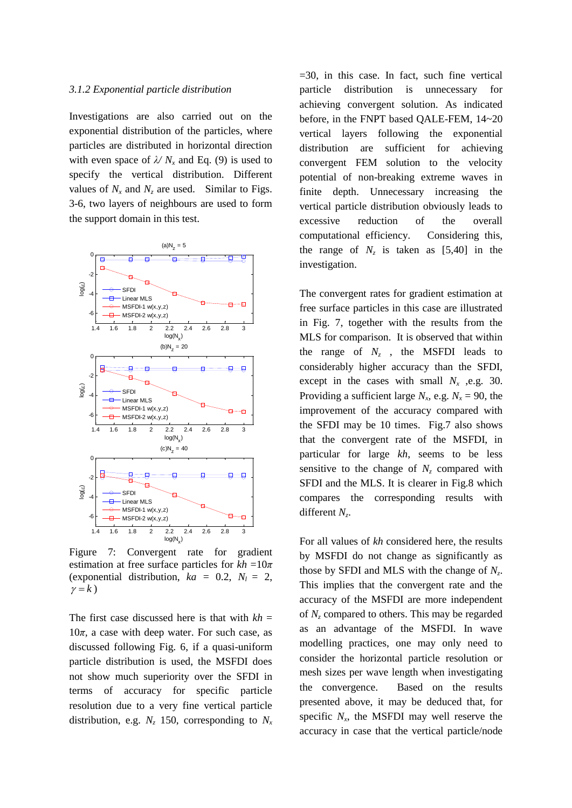#### *3.1.2 Exponential particle distribution*

Investigations are also carried out on the exponential distribution of the particles, where particles are distributed in horizontal direction with even space of  $\lambda/N_x$  and Eq. (9) is used to specify the vertical distribution. Different values of  $N_x$  and  $N_z$  are used. Similar to Figs. 3-6, two layers of neighbours are used to form the support domain in this test.



Figure 7: Convergent rate for gradient estimation at free surface particles for  $kh = 10\pi$ (exponential distribution,  $ka = 0.2$ ,  $N_l = 2$ ,  $\gamma = k$ 

The first case discussed here is that with  $kh =$  $10π$ , a case with deep water. For such case, as discussed following Fig. 6, if a quasi-uniform particle distribution is used, the MSFDI does not show much superiority over the SFDI in terms of accuracy for specific particle resolution due to a very fine vertical particle distribution, e.g.  $N_z$  150, corresponding to  $N_x$   $=30$ , in this case. In fact, such fine vertical particle distribution is unnecessary for achieving convergent solution. As indicated before, in the FNPT based QALE-FEM, 14~20 vertical layers following the exponential distribution are sufficient for achieving convergent FEM solution to the velocity potential of non-breaking extreme waves in finite depth. Unnecessary increasing the vertical particle distribution obviously leads to excessive reduction of the overall computational efficiency. Considering this, the range of  $N_z$  is taken as [5,40] in the investigation.

The convergent rates for gradient estimation at free surface particles in this case are illustrated in Fig. 7, together with the results from the MLS for comparison. It is observed that within the range of  $N_z$ , the MSFDI leads to considerably higher accuracy than the SFDI, except in the cases with small  $N_x$ , e.g. 30. Providing a sufficient large  $N_x$ , e.g.  $N_x = 90$ , the improvement of the accuracy compared with the SFDI may be 10 times. Fig.7 also shows that the convergent rate of the MSFDI, in particular for large *kh*, seems to be less sensitive to the change of  $N_z$  compared with SFDI and the MLS. It is clearer in Fig.8 which compares the corresponding results with different *N<sup>z</sup>* .

For all values of *kh* considered here, the results by MSFDI do not change as significantly as those by SFDI and MLS with the change of *N<sup>z</sup>* . This implies that the convergent rate and the accuracy of the MSFDI are more independent of *N<sup>z</sup>* compared to others. This may be regarded as an advantage of the MSFDI. In wave modelling practices, one may only need to consider the horizontal particle resolution or mesh sizes per wave length when investigating the convergence. Based on the results presented above, it may be deduced that, for specific  $N_x$ , the MSFDI may well reserve the accuracy in case that the vertical particle/node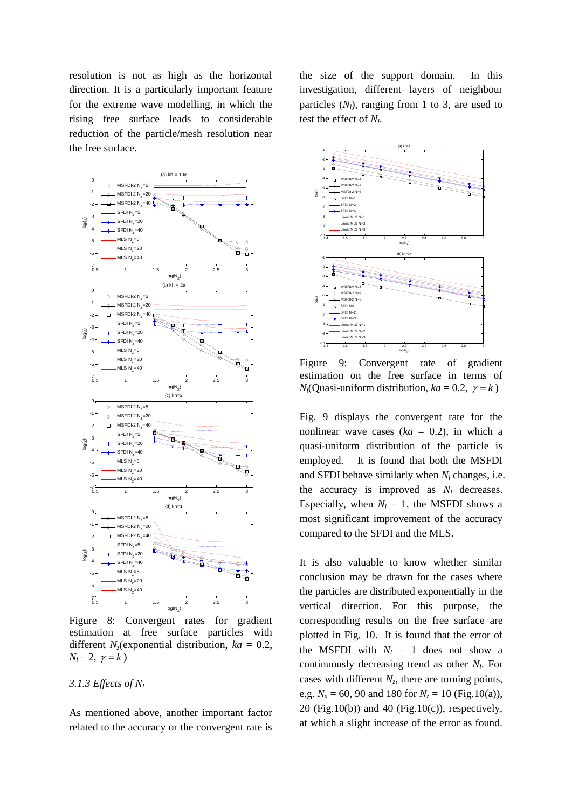resolution is not as high as the horizontal direction. It is a particularly important feature for the extreme wave modelling, in which the rising free surface leads to considerable reduction of the particle/mesh resolution near the free surface.



Figure 8: Convergent rates for gradient estimation at free surface particles with different  $N_z$ (exponential distribution,  $ka = 0.2$ ,  $N_l = 2, \gamma = k$ 

#### *3.1.3 Effects of N<sup>l</sup>*

As mentioned above, another important factor related to the accuracy or the convergent rate is

the size of the support domain. In this investigation, different layers of neighbour particles  $(N_l)$ , ranging from 1 to 3, are used to test the effect of *N<sup>l</sup>* .



Figure 9: Convergent rate of gradient estimation on the free surface in terms of  $N_l$ (Quasi-uniform distribution,  $ka = 0.2$ ,  $\gamma = k$ )

Fig. 9 displays the convergent rate for the nonlinear wave cases  $(ka = 0.2)$ , in which a quasi-uniform distribution of the particle is employed. It is found that both the MSFDI and SFDI behave similarly when  $N_l$  changes, i.e. the accuracy is improved as  $N_l$  decreases. Especially, when  $N_l = 1$ , the MSFDI shows a most significant improvement of the accuracy compared to the SFDI and the MLS.

It is also valuable to know whether similar conclusion may be drawn for the cases where the particles are distributed exponentially in the vertical direction. For this purpose, the corresponding results on the free surface are plotted in Fig. 10. It is found that the error of the MSFDI with  $N_l = 1$  does not show a continuously decreasing trend as other *N<sup>l</sup>* . For cases with different  $N_z$ , there are turning points, e.g.  $N_x = 60$ , 90 and 180 for  $N_z = 10$  (Fig.10(a)), 20 (Fig.10(b)) and 40 (Fig.10(c)), respectively, at which a slight increase of the error as found.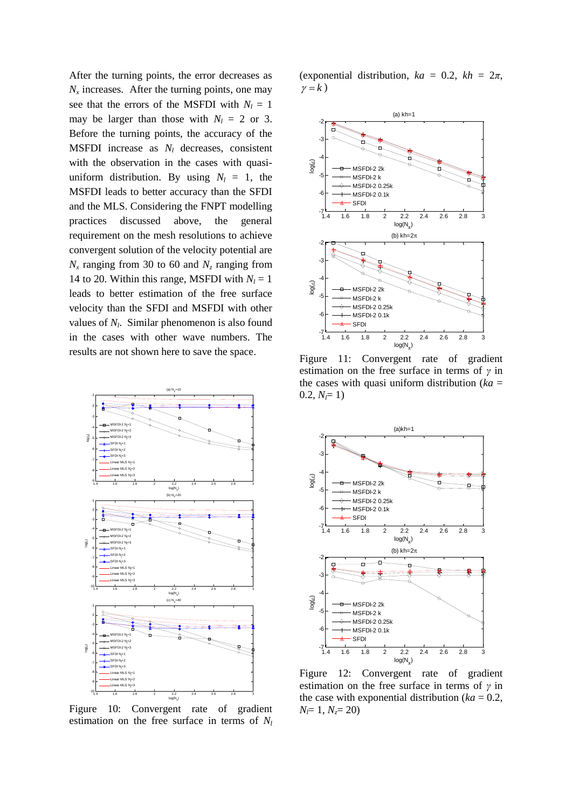After the turning points, the error decreases as  $N_x$  increases. After the turning points, one may see that the errors of the MSFDI with  $N_l = 1$ may be larger than those with  $N_l = 2$  or 3. Before the turning points, the accuracy of the MSFDI increase as *N<sup>l</sup>* decreases, consistent with the observation in the cases with quasiuniform distribution. By using  $N_l = 1$ , the MSFDI leads to better accuracy than the SFDI and the MLS. Considering the FNPT modelling practices discussed above, the general requirement on the mesh resolutions to achieve convergent solution of the velocity potential are  $N_x$  ranging from 30 to 60 and  $N_z$  ranging from 14 to 20. Within this range, MSFDI with  $N_l = 1$ leads to better estimation of the free surface velocity than the SFDI and MSFDI with other values of  $N_l$ . Similar phenomenon is also found in the cases with other wave numbers. The results are not shown here to save the space.



Figure 10: Convergent rate of gradient estimation on the free surface in terms of *N<sup>l</sup>*

(exponential distribution,  $ka = 0.2$ ,  $kh = 2\pi$ ,  $\gamma = k$ 



Figure 11: Convergent rate of gradient estimation on the free surface in terms of *γ* in the cases with quasi uniform distribution ( $ka =$  $0.2, N = 1$ 



Figure 12: Convergent rate of gradient estimation on the free surface in terms of *γ* in the case with exponential distribution ( $ka = 0.2$ , *Nl*= 1, *Nz*= 20)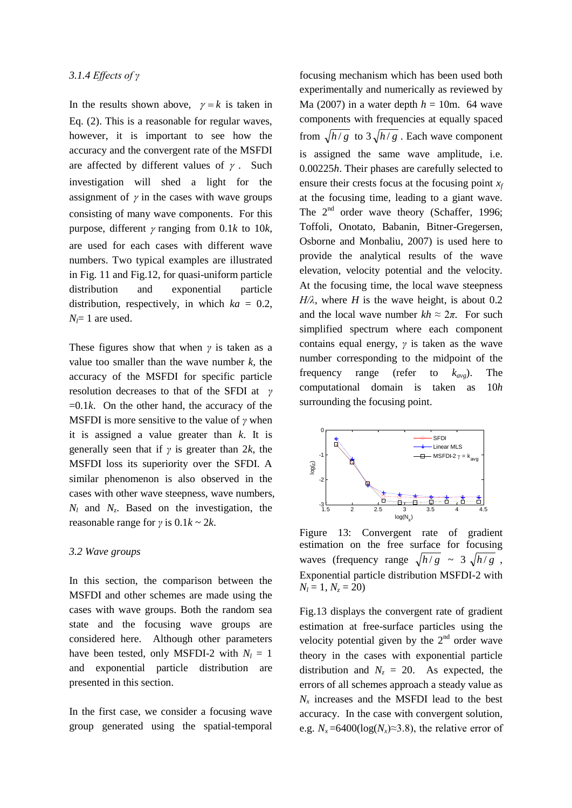In the results shown above,  $\gamma = k$  is taken in Eq. (2). This is a reasonable for regular waves, however, it is important to see how the accuracy and the convergent rate of the MSFDI are affected by different values of  $\gamma$ . Such investigation will shed a light for the assignment of  $\gamma$  in the cases with wave groups consisting of many wave components. For this purpose, different  $\gamma$  ranging from 0.1*k* to 10*k*, are used for each cases with different wave numbers. Two typical examples are illustrated in Fig. 11 and Fig.12, for quasi-uniform particle distribution and exponential particle distribution, respectively, in which  $ka = 0.2$ ,  $N_f$ = 1 are used.

These figures show that when *γ* is taken as a value too smaller than the wave number  $k$ , the accuracy of the MSFDI for specific particle resolution decreases to that of the SFDI at *γ*   $=0.1k$ . On the other hand, the accuracy of the MSFDI is more sensitive to the value of *γ* when it is assigned a value greater than *k*. It is generally seen that if *γ* is greater than 2*k*, the MSFDI loss its superiority over the SFDI. A similar phenomenon is also observed in the cases with other wave steepness, wave numbers,  $N_l$  and  $N_z$ . Based on the investigation, the reasonable range for  $\gamma$  is  $0.1k \sim 2k$ .

#### *3.2 Wave groups*

In this section, the comparison between the MSFDI and other schemes are made using the cases with wave groups. Both the random sea state and the focusing wave groups are considered here. Although other parameters have been tested, only MSFDI-2 with  $N_l = 1$ and exponential particle distribution are presented in this section.

In the first case, we consider a focusing wave group generated using the spatial-temporal focusing mechanism which has been used both experimentally and numerically as reviewed by Ma (2007) in a water depth  $h = 10$ m. 64 wave components with frequencies at equally spaced from  $\sqrt{h/g}$  to  $3\sqrt{h/g}$ . Each wave component is assigned the same wave amplitude, i.e. 0.00225*h*. Their phases are carefully selected to ensure their crests focus at the focusing point *x<sup>f</sup>* at the focusing time, leading to a giant wave. The  $2<sup>nd</sup>$  order wave theory (Schaffer, 1996; Toffoli, Onotato, Babanin, Bitner-Gregersen, Osborne and Monbaliu, 2007) is used here to provide the analytical results of the wave elevation, velocity potential and the velocity. At the focusing time, the local wave steepness  $H/\lambda$ , where *H* is the wave height, is about 0.2 and the local wave number  $kh \approx 2\pi$ . For such simplified spectrum where each component contains equal energy, *γ* is taken as the wave number corresponding to the midpoint of the frequency range (refer to *kavg*). The computational domain is taken as 10*h* surrounding the focusing point.



Figure 13: Convergent rate of gradient estimation on the free surface for focusing waves (frequency range  $\sqrt{h/g} \sim 3 \sqrt{h/g}$ , Exponential particle distribution MSFDI-2 with  $N_l = 1, N_z = 20$ 

Fig.13 displays the convergent rate of gradient estimation at free-surface particles using the velocity potential given by the  $2<sup>nd</sup>$  order wave theory in the cases with exponential particle distribution and  $N_z = 20$ . As expected, the errors of all schemes approach a steady value as  $N_x$  increases and the MSFDI lead to the best accuracy. In the case with convergent solution, e.g.  $N_x = 6400(\log(N_x) \approx 3.8)$ , the relative error of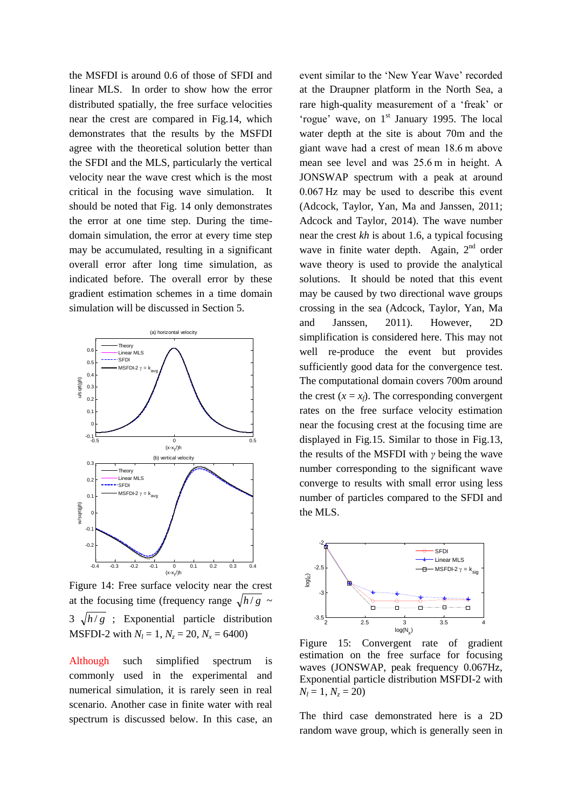the MSFDI is around 0.6 of those of SFDI and linear MLS. In order to show how the error distributed spatially, the free surface velocities near the crest are compared in Fig.14, which demonstrates that the results by the MSFDI agree with the theoretical solution better than the SFDI and the MLS, particularly the vertical velocity near the wave crest which is the most critical in the focusing wave simulation. It should be noted that Fig. 14 only demonstrates the error at one time step. During the timedomain simulation, the error at every time step may be accumulated, resulting in a significant overall error after long time simulation, as indicated before. The overall error by these gradient estimation schemes in a time domain simulation will be discussed in Section 5.



Figure 14: Free surface velocity near the crest at the focusing time (frequency range  $\sqrt{h/g}$  ~  $3\sqrt{h/g}$ ; Exponential particle distribution **MSFDI-2** with  $N_l = 1$ ,  $N_z = 20$ ,  $N_x = 6400$ )

Although such simplified spectrum is commonly used in the experimental and numerical simulation, it is rarely seen in real scenario. Another case in finite water with real spectrum is discussed below. In this case, an event similar to the 'New Year Wave' recorded at the Draupner platform in the North Sea, a rare high-quality measurement of a 'freak' or 'rogue' wave, on  $1<sup>st</sup>$  January 1995. The local water depth at the site is about 70m and the giant wave had a crest of mean 18.6 m above mean see level and was 25.6 m in height. A JONSWAP spectrum with a peak at around 0.067 Hz may be used to describe this event (Adcock, Taylor, Yan, Ma and Janssen, 2011; Adcock and Taylor, 2014). The wave number near the crest *kh* is about 1.6, a typical focusing wave in finite water depth. Again,  $2<sup>nd</sup>$  order wave theory is used to provide the analytical solutions. It should be noted that this event may be caused by two directional wave groups crossing in the sea (Adcock, Taylor, Yan, Ma and Janssen, 2011). However, 2D simplification is considered here. This may not well re-produce the event but provides sufficiently good data for the convergence test. The computational domain covers 700m around the crest  $(x = x_f)$ . The corresponding convergent rates on the free surface velocity estimation near the focusing crest at the focusing time are displayed in Fig.15. Similar to those in Fig.13, the results of the MSFDI with *γ* being the wave number corresponding to the significant wave converge to results with small error using less number of particles compared to the SFDI and the MLS.



Figure 15: Convergent rate of gradient estimation on the free surface for focusing waves (JONSWAP, peak frequency 0.067Hz, Exponential particle distribution MSFDI-2 with  $N_i = 1, N_z = 20$ 

The third case demonstrated here is a 2D random wave group, which is generally seen in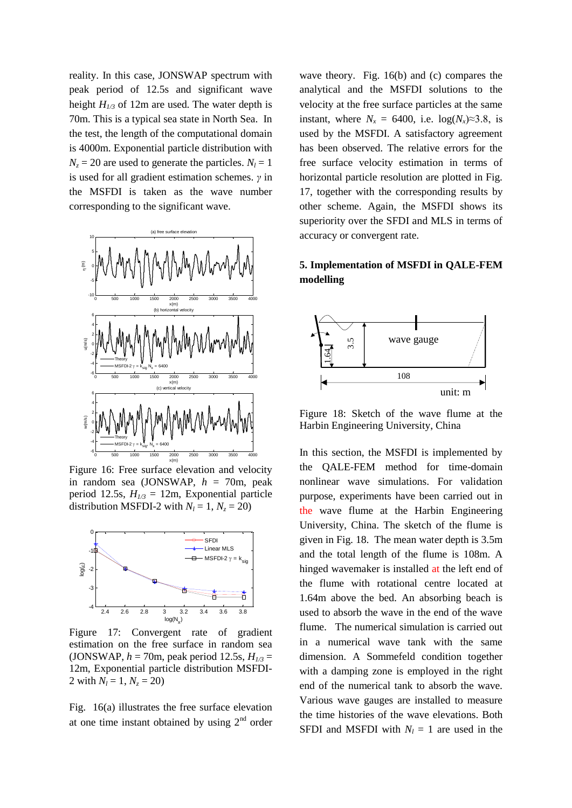reality. In this case, JONSWAP spectrum with peak period of 12.5s and significant wave height  $H_{1/3}$  of 12m are used. The water depth is 70m. This is a typical sea state in North Sea. In the test, the length of the computational domain is 4000m. Exponential particle distribution with  $N_z = 20$  are used to generate the particles.  $N_l = 1$ is used for all gradient estimation schemes. *γ* in the MSFDI is taken as the wave number corresponding to the significant wave.



Figure 16: Free surface elevation and velocity in random sea (JONSWAP, *h* = 70m, peak period 12.5s, *H1/3* = 12m, Exponential particle distribution MSFDI-2 with  $N_l = 1$ ,  $N_z = 20$ )



Figure 17: Convergent rate of gradient estimation on the free surface in random sea (JONSWAP,  $h = 70$ m, peak period 12.5s,  $H_{1/3} =$ 12m, Exponential particle distribution MSFDI-2 with  $N_l = 1$ ,  $N_z = 20$ )

Fig. 16(a) illustrates the free surface elevation at one time instant obtained by using  $2<sup>nd</sup>$  order wave theory. Fig. 16(b) and (c) compares the analytical and the MSFDI solutions to the velocity at the free surface particles at the same instant, where  $N_x = 6400$ , i.e.  $log(N_x) \approx 3.8$ , is used by the MSFDI. A satisfactory agreement has been observed. The relative errors for the free surface velocity estimation in terms of horizontal particle resolution are plotted in Fig. 17, together with the corresponding results by other scheme. Again, the MSFDI shows its superiority over the SFDI and MLS in terms of accuracy or convergent rate.

## **5. Implementation of MSFDI in QALE-FEM modelling**



Figure 18: Sketch of the wave flume at the Harbin Engineering University, China

In this section, the MSFDI is implemented by the QALE-FEM method for time-domain nonlinear wave simulations. For validation purpose, experiments have been carried out in the wave flume at the Harbin Engineering University, China. The sketch of the flume is given in Fig. 18. The mean water depth is 3.5m and the total length of the flume is 108m. A hinged wavemaker is installed at the left end of the flume with rotational centre located at 1.64m above the bed. An absorbing beach is used to absorb the wave in the end of the wave flume. The numerical simulation is carried out in a numerical wave tank with the same dimension. A Sommefeld condition together with a damping zone is employed in the right end of the numerical tank to absorb the wave. Various wave gauges are installed to measure the time histories of the wave elevations. Both SFDI and MSFDI with  $N_l = 1$  are used in the  $\begin{bmatrix}\n\frac{1}{2} & \frac{1}{2} & \frac{1}{2} \\
\frac{1}{2} & \frac{1}{2} & \frac{1}{2}\n\end{bmatrix}$ <br>
Figure 18: S<br>
Harbin Engin<br>
velocity the QALE-F<br>
i, peak nonlinear way<br>
particle purpose, experience the wave flue University, C<br>
given in Fig.<br>
and the tot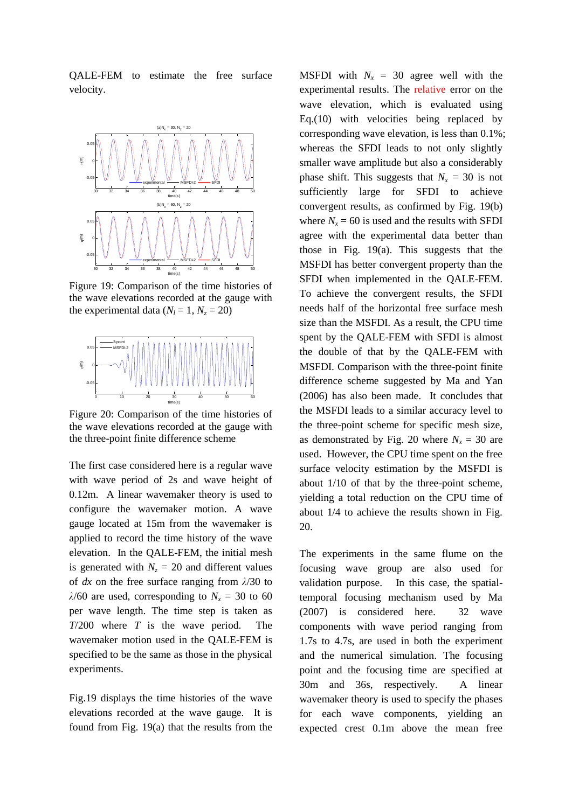QALE-FEM to estimate the free surface velocity.



Figure 19: Comparison of the time histories of the wave elevations recorded at the gauge with the experimental data ( $N_l = 1$ ,  $N_z = 20$ )



Figure 20: Comparison of the time histories of the wave elevations recorded at the gauge with the three-point finite difference scheme

The first case considered here is a regular wave with wave period of 2s and wave height of 0.12m. A linear wavemaker theory is used to configure the wavemaker motion. A wave gauge located at 15m from the wavemaker is applied to record the time history of the wave elevation. In the QALE-FEM, the initial mesh is generated with  $N_z = 20$  and different values of *dx* on the free surface ranging from *λ*/30 to *λ*/60 are used, corresponding to  $N<sub>x</sub> = 30$  to 60 per wave length. The time step is taken as *T*/200 where *T* is the wave period. The wavemaker motion used in the QALE-FEM is specified to be the same as those in the physical experiments.

Fig.19 displays the time histories of the wave elevations recorded at the wave gauge. It is found from Fig. 19(a) that the results from the

**MSFDI** with  $N_x = 30$  agree well with the experimental results. The relative error on the wave elevation, which is evaluated using Eq.(10) with velocities being replaced by corresponding wave elevation, is less than 0.1%; whereas the SFDI leads to not only slightly smaller wave amplitude but also a considerably phase shift. This suggests that  $N_x = 30$  is not sufficiently large for SFDI to achieve convergent results, as confirmed by Fig. 19(b) where  $N_x = 60$  is used and the results with SFDI agree with the experimental data better than those in Fig. 19(a). This suggests that the MSFDI has better convergent property than the SFDI when implemented in the QALE-FEM. To achieve the convergent results, the SFDI needs half of the horizontal free surface mesh size than the MSFDI. As a result, the CPU time spent by the QALE-FEM with SFDI is almost the double of that by the QALE-FEM with MSFDI. Comparison with the three-point finite difference scheme suggested by Ma and Yan (2006) has also been made. It concludes that the MSFDI leads to a similar accuracy level to the three-point scheme for specific mesh size, as demonstrated by Fig. 20 where  $N_x = 30$  are used. However, the CPU time spent on the free surface velocity estimation by the MSFDI is about 1/10 of that by the three-point scheme, yielding a total reduction on the CPU time of about 1/4 to achieve the results shown in Fig. 20.

The experiments in the same flume on the focusing wave group are also used for validation purpose. In this case, the spatialtemporal focusing mechanism used by Ma (2007) is considered here. 32 wave components with wave period ranging from 1.7s to 4.7s, are used in both the experiment and the numerical simulation. The focusing point and the focusing time are specified at 30m and 36s, respectively. A linear wavemaker theory is used to specify the phases for each wave components, yielding an expected crest 0.1m above the mean free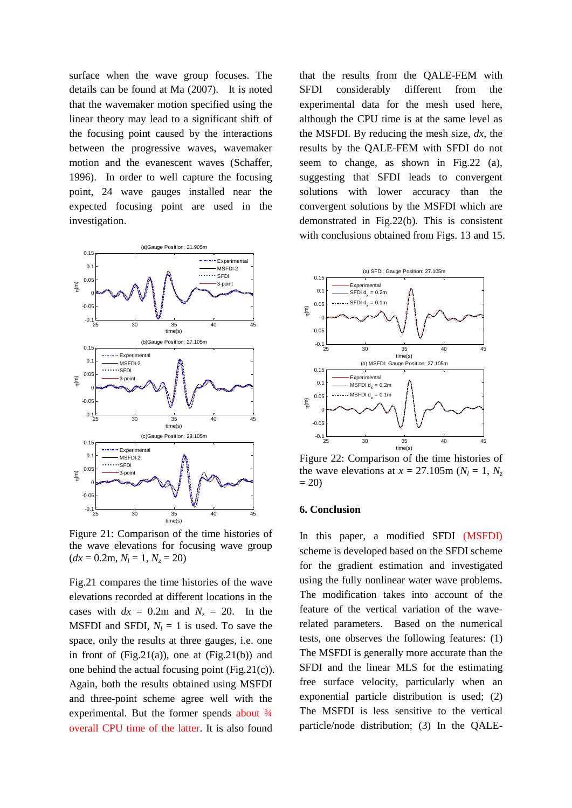surface when the wave group focuses. The details can be found at Ma (2007). It is noted that the wavemaker motion specified using the linear theory may lead to a significant shift of the focusing point caused by the interactions between the progressive waves, wavemaker motion and the evanescent waves (Schaffer, 1996). In order to well capture the focusing point, 24 wave gauges installed near the expected focusing point are used in the investigation.



Figure 21: Comparison of the time histories of the wave elevations for focusing wave group  $(dx = 0.2m, N_l = 1, N_z = 20)$ 

Fig.21 compares the time histories of the wave elevations recorded at different locations in the cases with  $dx = 0.2$ m and  $N_z = 20$ . In the MSFDI and SFDI,  $N_l = 1$  is used. To save the space, only the results at three gauges, i.e. one in front of  $(Fig.21(a))$ , one at  $(Fig.21(b))$  and one behind the actual focusing point (Fig.21(c)). Again, both the results obtained using MSFDI and three-point scheme agree well with the experimental. But the former spends about  $\frac{3}{4}$ overall CPU time of the latter. It is also found

that the results from the QALE-FEM with SFDI considerably different from the experimental data for the mesh used here, although the CPU time is at the same level as the MSFDI. By reducing the mesh size, *dx*, the results by the QALE-FEM with SFDI do not seem to change, as shown in Fig.22 (a), suggesting that SFDI leads to convergent solutions with lower accuracy than the convergent solutions by the MSFDI which are demonstrated in Fig.22(b). This is consistent with conclusions obtained from Figs. 13 and 15.



Figure 22: Comparison of the time histories of the wave elevations at  $x = 27.105$ m ( $N_l = 1, N_z$  $= 20$ 

#### **6. Conclusion**

In this paper, a modified SFDI (MSFDI) scheme is developed based on the SFDI scheme for the gradient estimation and investigated using the fully nonlinear water wave problems. The modification takes into account of the feature of the vertical variation of the waverelated parameters. Based on the numerical tests, one observes the following features: (1) The MSFDI is generally more accurate than the SFDI and the linear MLS for the estimating free surface velocity, particularly when an exponential particle distribution is used; (2) The MSFDI is less sensitive to the vertical particle/node distribution; (3) In the QALE-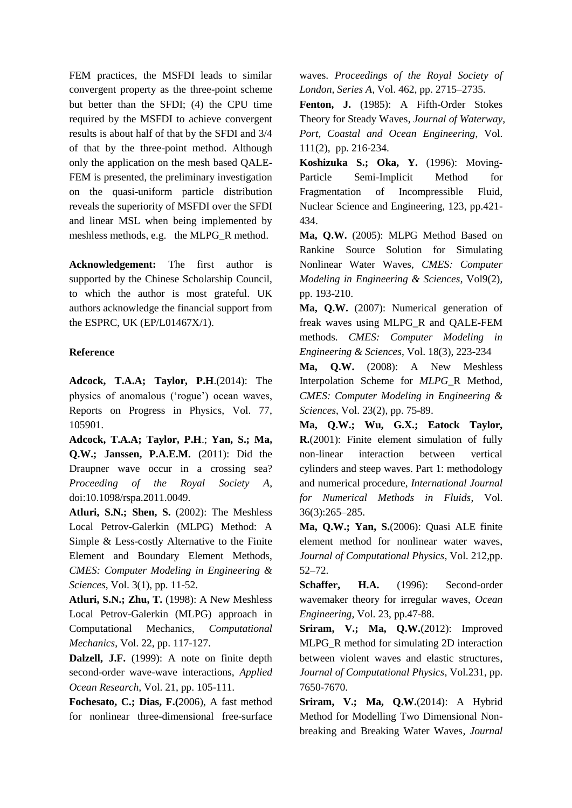FEM practices, the MSFDI leads to similar convergent property as the three-point scheme but better than the SFDI; (4) the CPU time required by the MSFDI to achieve convergent results is about half of that by the SFDI and 3/4 of that by the three-point method. Although only the application on the mesh based QALE-FEM is presented, the preliminary investigation on the quasi-uniform particle distribution reveals the superiority of MSFDI over the SFDI and linear MSL when being implemented by meshless methods, e.g. the MLPG\_R method.

**Acknowledgement:** The first author is supported by the Chinese Scholarship Council, to which the author is most grateful. UK authors acknowledge the financial support from the ESPRC, UK (EP/L01467X/1).

#### **Reference**

**Adcock, T.A.A; Taylor, P.H**.(2014): The physics of anomalous ('rogue') ocean waves, Reports on Progress in Physics, Vol. 77, 105901.

**Adcock, T.A.A; Taylor, P.H**.; **Yan, S.; Ma, Q.W.; Janssen, P.A.E.M.** (2011): Did the Draupner wave occur in a crossing sea? *Proceeding of the Royal Society A*, doi:10.1098/rspa.2011.0049.

**Atluri, S.N.; Shen, S.** (2002): The Meshless Local Petrov-Galerkin (MLPG) Method: A Simple & Less-costly Alternative to the Finite Element and Boundary Element Methods, *CMES: Computer Modeling in Engineering & Sciences*, Vol. 3(1), pp. 11-52.

**Atluri, S.N.; Zhu, T.** (1998): A New Meshless Local Petrov-Galerkin (MLPG) approach in Computational Mechanics, *Computational Mechanics*, Vol. 22, pp. 117-127.

**Dalzell, J.F.** (1999): A note on finite depth second-order wave-wave interactions, *Applied Ocean Research*, Vol. 21, pp. 105-111.

**Fochesato, C.; Dias, F.(**2006), A fast method for nonlinear three-dimensional free-surface waves. *Proceedings of the Royal Society of London, Series A*, Vol. 462, pp. 2715–2735.

Fenton, J. (1985): A Fifth-Order Stokes Theory for Steady Waves, *Journal of Waterway, Port, Coastal and Ocean Engineering*, Vol. 111(2), pp. 216-234.

**Koshizuka S.; Oka, Y.** (1996): Moving-Particle Semi-Implicit Method for Fragmentation of Incompressible Fluid, Nuclear Science and Engineering, 123, pp.421- 434.

**Ma, Q.W.** (2005): MLPG Method Based on Rankine Source Solution for Simulating Nonlinear Water Waves, *CMES: Computer Modeling in Engineering & Sciences*, Vol9(2), pp. 193-210.

**Ma, Q.W.** (2007): Numerical generation of freak waves using MLPG\_R and QALE-FEM methods. *CMES: Computer Modeling in Engineering & Sciences*, Vol. 18(3), 223-234

**Ma, Q.W.** (2008): A New Meshless Interpolation Scheme for *MLPG*\_R Method, *CMES: Computer Modeling in Engineering & Sciences*, Vol. 23(2), pp. 75-89.

**Ma, Q.W.; Wu, G.X.; Eatock Taylor, R.**(2001): Finite element simulation of fully non-linear interaction between vertical cylinders and steep waves. Part 1: methodology and numerical procedure, *International Journal for Numerical Methods in Fluids*, Vol. 36(3):265–285.

**Ma, Q.W.; Yan, S.**(2006): Quasi ALE finite element method for nonlinear water waves, *Journal of Computational Physics*, Vol. 212,pp. 52–72.

Schaffer, H.A. (1996): Second-order wavemaker theory for irregular waves, *Ocean Engineering*, Vol. 23, pp.47-88.

**Sriram, V.; Ma, Q.W.**(2012): Improved MLPG\_R method for simulating 2D interaction between violent waves and elastic structures, *Journal of Computational Physics*, Vol.231, pp. 7650-7670.

**Sriram, V.; Ma, Q.W.**(2014): A Hybrid Method for Modelling Two Dimensional Nonbreaking and Breaking Water Waves, *Journal*